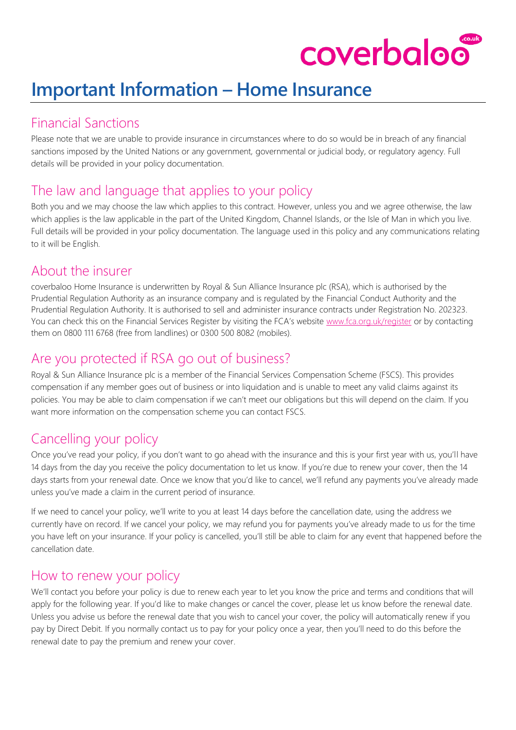# coverbaloo

# **Important Information – Home Insurance**

#### Financial Sanctions

Please note that we are unable to provide insurance in circumstances where to do so would be in breach of any financial sanctions imposed by the United Nations or any government, governmental or judicial body, or regulatory agency. Full details will be provided in your policy documentation.

# The law and language that applies to your policy

Both you and we may choose the law which applies to this contract. However, unless you and we agree otherwise, the law which applies is the law applicable in the part of the United Kingdom, Channel Islands, or the Isle of Man in which you live. Full details will be provided in your policy documentation. The language used in this policy and any communications relating to it will be English.

## About the insurer

coverbaloo Home Insurance is underwritten by Royal & Sun Alliance Insurance plc (RSA), which is authorised by the Prudential Regulation Authority as an insurance company and is regulated by the Financial Conduct Authority and the Prudential Regulation Authority. It is authorised to sell and administer insurance contracts under Registration No. 202323. You can check this on the Financial Services Register by visiting the FCA's website [www.fca.org.uk/register](http://www.fca.org.uk/register) or by contacting them on 0800 111 6768 (free from landlines) or 0300 500 8082 (mobiles).

# Are you protected if RSA go out of business?

Royal & Sun Alliance Insurance plc is a member of the Financial Services Compensation Scheme (FSCS). This provides compensation if any member goes out of business or into liquidation and is unable to meet any valid claims against its policies. You may be able to claim compensation if we can't meet our obligations but this will depend on the claim. If you want more information on the compensation scheme you can contact FSCS.

# Cancelling your policy

Once you've read your policy, if you don't want to go ahead with the insurance and this is your first year with us, you'll have 14 days from the day you receive the policy documentation to let us know. If you're due to renew your cover, then the 14 days starts from your renewal date. Once we know that you'd like to cancel, we'll refund any payments you've already made unless you've made a claim in the current period of insurance.

If we need to cancel your policy, we'll write to you at least 14 days before the cancellation date, using the address we currently have on record. If we cancel your policy, we may refund you for payments you've already made to us for the time you have left on your insurance. If your policy is cancelled, you'll still be able to claim for any event that happened before the cancellation date.

## How to renew your policy

We'll contact you before your policy is due to renew each year to let you know the price and terms and conditions that will apply for the following year. If you'd like to make changes or cancel the cover, please let us know before the renewal date. Unless you advise us before the renewal date that you wish to cancel your cover, the policy will automatically renew if you pay by Direct Debit. If you normally contact us to pay for your policy once a year, then you'll need to do this before the renewal date to pay the premium and renew your cover.